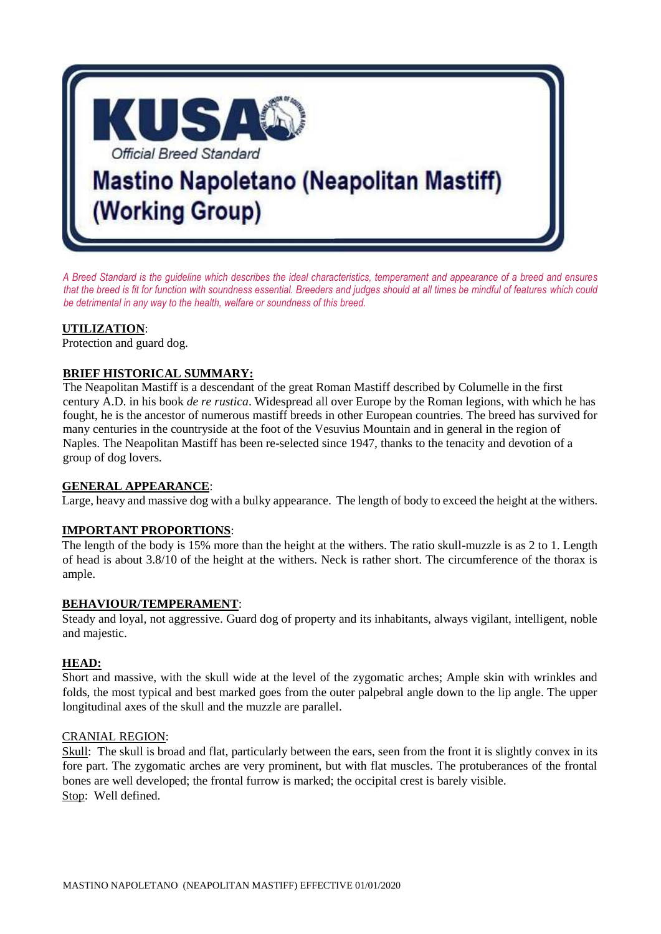

*A Breed Standard is the guideline which describes the ideal characteristics, temperament and appearance of a breed and ensures*  that the breed is fit for function with soundness essential. Breeders and judges should at all times be mindful of features which could *be detrimental in any way to the health, welfare or soundness of this breed.*

#### **UTILIZATION**:

Protection and guard dog.

## **BRIEF HISTORICAL SUMMARY:**

The Neapolitan Mastiff is a descendant of the great Roman Mastiff described by Columelle in the first century A.D. in his book *de re rustica*. Widespread all over Europe by the Roman legions, with which he has fought, he is the ancestor of numerous mastiff breeds in other European countries. The breed has survived for many centuries in the countryside at the foot of the Vesuvius Mountain and in general in the region of Naples. The Neapolitan Mastiff has been re-selected since 1947, thanks to the tenacity and devotion of a group of dog lovers.

## **GENERAL APPEARANCE**:

Large, heavy and massive dog with a bulky appearance. The length of body to exceed the height at the withers.

## **IMPORTANT PROPORTIONS**:

The length of the body is 15% more than the height at the withers. The ratio skull-muzzle is as 2 to 1. Length of head is about 3.8/10 of the height at the withers. Neck is rather short. The circumference of the thorax is ample.

#### **BEHAVIOUR/TEMPERAMENT**:

Steady and loyal, not aggressive. Guard dog of property and its inhabitants, always vigilant, intelligent, noble and majestic.

## **HEAD:**

Short and massive, with the skull wide at the level of the zygomatic arches; Ample skin with wrinkles and folds, the most typical and best marked goes from the outer palpebral angle down to the lip angle. The upper longitudinal axes of the skull and the muzzle are parallel.

#### CRANIAL REGION:

Skull: The skull is broad and flat, particularly between the ears, seen from the front it is slightly convex in its fore part. The zygomatic arches are very prominent, but with flat muscles. The protuberances of the frontal bones are well developed; the frontal furrow is marked; the occipital crest is barely visible. Stop: Well defined.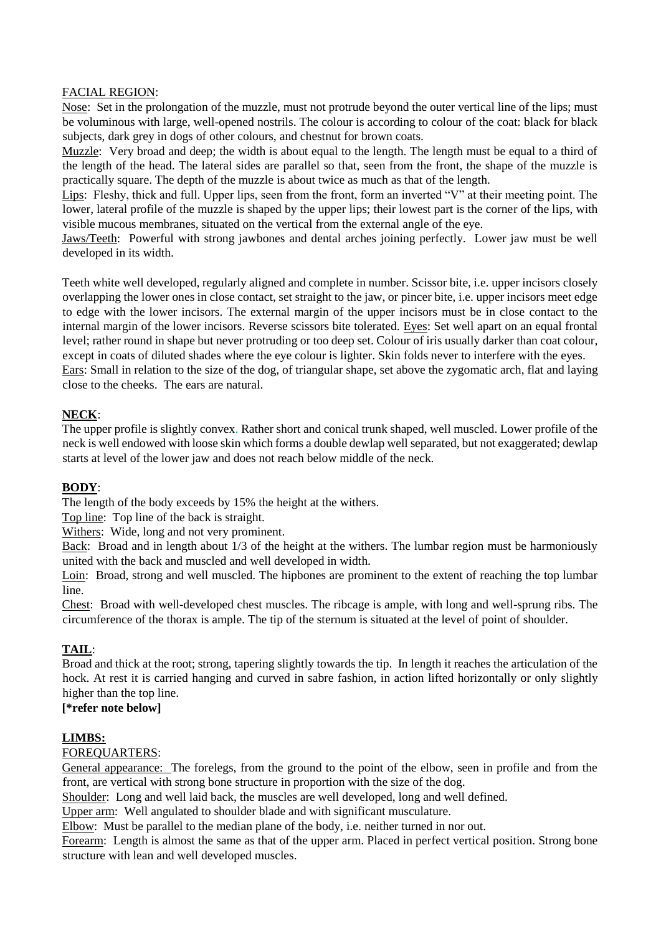#### FACIAL REGION:

Nose: Set in the prolongation of the muzzle, must not protrude beyond the outer vertical line of the lips; must be voluminous with large, well-opened nostrils. The colour is according to colour of the coat: black for black subjects, dark grey in dogs of other colours, and chestnut for brown coats.

Muzzle: Very broad and deep; the width is about equal to the length. The length must be equal to a third of the length of the head. The lateral sides are parallel so that, seen from the front, the shape of the muzzle is practically square. The depth of the muzzle is about twice as much as that of the length.

Lips: Fleshy, thick and full. Upper lips, seen from the front, form an inverted "V" at their meeting point. The lower, lateral profile of the muzzle is shaped by the upper lips; their lowest part is the corner of the lips, with visible mucous membranes, situated on the vertical from the external angle of the eye.

Jaws/Teeth: Powerful with strong jawbones and dental arches joining perfectly. Lower jaw must be well developed in its width.

Teeth white well developed, regularly aligned and complete in number. Scissor bite, i.e. upper incisors closely overlapping the lower ones in close contact, set straight to the jaw, or pincer bite, i.e. upper incisors meet edge to edge with the lower incisors. The external margin of the upper incisors must be in close contact to the internal margin of the lower incisors. Reverse scissors bite tolerated. Eyes: Set well apart on an equal frontal level; rather round in shape but never protruding or too deep set. Colour of iris usually darker than coat colour, except in coats of diluted shades where the eye colour is lighter. Skin folds never to interfere with the eyes. Ears: Small in relation to the size of the dog, of triangular shape, set above the zygomatic arch, flat and laying close to the cheeks. The ears are natural.

# **NECK**:

The upper profile is slightly convex. Rather short and conical trunk shaped, well muscled. Lower profile of the neck is well endowed with loose skin which forms a double dewlap well separated, but not exaggerated; dewlap starts at level of the lower jaw and does not reach below middle of the neck.

## **BODY**:

The length of the body exceeds by 15% the height at the withers.

Top line: Top line of the back is straight.

Withers: Wide, long and not very prominent.

Back: Broad and in length about 1/3 of the height at the withers. The lumbar region must be harmoniously united with the back and muscled and well developed in width.

Loin: Broad, strong and well muscled. The hipbones are prominent to the extent of reaching the top lumbar line.

Chest: Broad with well-developed chest muscles. The ribcage is ample, with long and well-sprung ribs. The circumference of the thorax is ample. The tip of the sternum is situated at the level of point of shoulder.

# **TAIL**:

Broad and thick at the root; strong, tapering slightly towards the tip. In length it reaches the articulation of the hock. At rest it is carried hanging and curved in sabre fashion, in action lifted horizontally or only slightly higher than the top line.

# **[\*refer note below]**

# **LIMBS:**

## FOREQUARTERS:

General appearance: The forelegs, from the ground to the point of the elbow, seen in profile and from the front, are vertical with strong bone structure in proportion with the size of the dog.

Shoulder: Long and well laid back, the muscles are well developed, long and well defined.

Upper arm: Well angulated to shoulder blade and with significant musculature.

Elbow: Must be parallel to the median plane of the body, i.e. neither turned in nor out.

Forearm: Length is almost the same as that of the upper arm. Placed in perfect vertical position. Strong bone structure with lean and well developed muscles.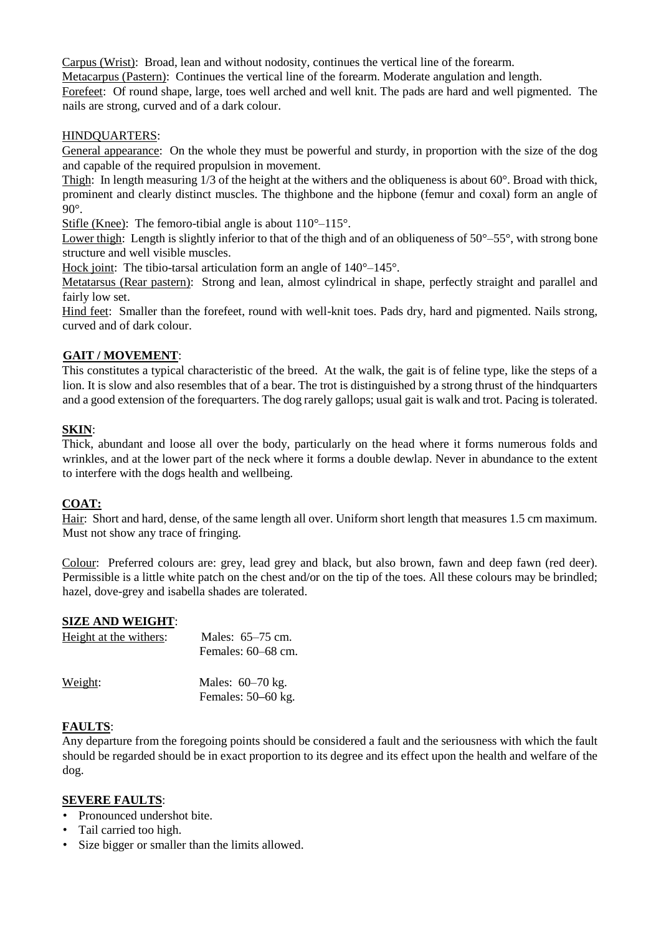Carpus (Wrist): Broad, lean and without nodosity, continues the vertical line of the forearm.

Metacarpus (Pastern): Continues the vertical line of the forearm. Moderate angulation and length.

Forefeet: Of round shape, large, toes well arched and well knit. The pads are hard and well pigmented. The nails are strong, curved and of a dark colour.

## HINDQUARTERS:

General appearance: On the whole they must be powerful and sturdy, in proportion with the size of the dog and capable of the required propulsion in movement.

Thigh: In length measuring  $1/3$  of the height at the withers and the obliqueness is about  $60^\circ$ . Broad with thick, prominent and clearly distinct muscles. The thighbone and the hipbone (femur and coxal) form an angle of 90°.

Stifle (Knee): The femoro-tibial angle is about 110°–115°.

Lower thigh: Length is slightly inferior to that of the thigh and of an obliqueness of  $50^{\circ}$ –55°, with strong bone structure and well visible muscles.

Hock joint: The tibio-tarsal articulation form an angle of  $140^{\circ}$ – $145^{\circ}$ .

Metatarsus (Rear pastern): Strong and lean, almost cylindrical in shape, perfectly straight and parallel and fairly low set.

Hind feet: Smaller than the forefeet, round with well-knit toes. Pads dry, hard and pigmented. Nails strong, curved and of dark colour.

# **GAIT / MOVEMENT**:

This constitutes a typical characteristic of the breed. At the walk, the gait is of feline type, like the steps of a lion. It is slow and also resembles that of a bear. The trot is distinguished by a strong thrust of the hindquarters and a good extension of the forequarters. The dog rarely gallops; usual gait is walk and trot. Pacing is tolerated.

# **SKIN**:

Thick, abundant and loose all over the body, particularly on the head where it forms numerous folds and wrinkles, and at the lower part of the neck where it forms a double dewlap. Never in abundance to the extent to interfere with the dogs health and wellbeing.

## **COAT:**

Hair: Short and hard, dense, of the same length all over. Uniform short length that measures 1.5 cm maximum. Must not show any trace of fringing.

Colour: Preferred colours are: grey, lead grey and black, but also brown, fawn and deep fawn (red deer). Permissible is a little white patch on the chest and/or on the tip of the toes. All these colours may be brindled; hazel, dove-grey and isabella shades are tolerated.

## **SIZE AND WEIGHT**:

| Height at the withers: | Males: $65-75$ cm.<br>Females: 60–68 cm. |
|------------------------|------------------------------------------|
| Weight:                | Males: 60–70 kg.<br>Females: $50-60$ kg. |

## **FAULTS**:

Any departure from the foregoing points should be considered a fault and the seriousness with which the fault should be regarded should be in exact proportion to its degree and its effect upon the health and welfare of the dog.

#### **SEVERE FAULTS**:

- Pronounced undershot bite.
- Tail carried too high.
- Size bigger or smaller than the limits allowed.